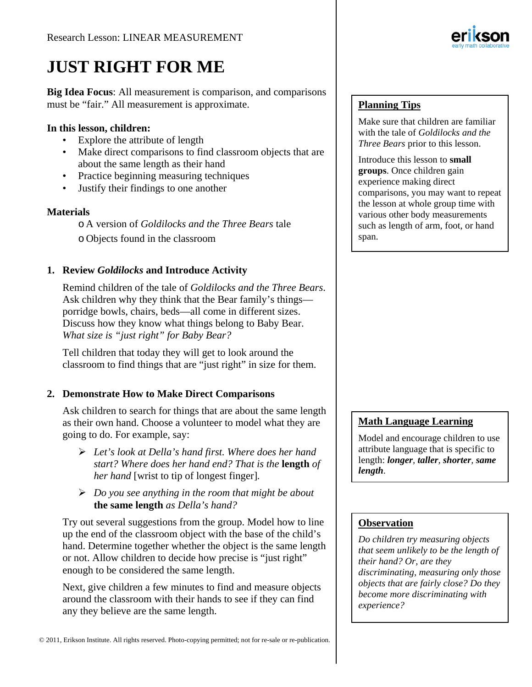# **JUST RIGHT FOR ME**

**Big Idea Focus**: All measurement is comparison, and comparisons must be "fair." All measurement is approximate.

#### **In this lesson, children:**

- Explore the attribute of length
- Make direct comparisons to find classroom objects that are about the same length as their hand
- Practice beginning measuring techniques
- Justify their findings to one another

## **Materials**

o A version of *Goldilocks and the Three Bears* tale o Objects found in the classroom

## **1. Review** *Goldilocks* **and Introduce Activity**

Remind children of the tale of *Goldilocks and the Three Bears*. Ask children why they think that the Bear family's things porridge bowls, chairs, beds—all come in different sizes. Discuss how they know what things belong to Baby Bear. *What size is "just right" for Baby Bear?*

Tell children that today they will get to look around the classroom to find things that are "just right" in size for them.

## **2. Demonstrate How to Make Direct Comparisons**

Ask children to search for things that are about the same length as their own hand. Choose a volunteer to model what they are going to do. For example, say:

- *Let's look at Della's hand first. Where does her hand start? Where does her hand end? That is the* **length** *of her hand* [wrist to tip of longest finger]*.*
- *Do you see anything in the room that might be about*  **the same length** *as Della's hand?*

Try out several suggestions from the group. Model how to line up the end of the classroom object with the base of the child's hand. Determine together whether the object is the same length or not. Allow children to decide how precise is "just right" enough to be considered the same length.

Next, give children a few minutes to find and measure objects around the classroom with their hands to see if they can find any they believe are the same length.



## **Planning Tips**

Make sure that children are familiar with the tale of *Goldilocks and the Three Bears* prior to this lesson.

Introduce this lesson to **small groups**. Once children gain experience making direct comparisons, you may want to repeat the lesson at whole group time with various other body measurements such as length of arm, foot, or hand span.

## **Math Language Learning**

Model and encourage children to use attribute language that is specific to length: *longer, taller, shorter, same length*.

## **Observation**

*Do children try measuring objects that seem unlikely to be the length of their hand? Or, are they discriminating, measuring only those objects that are fairly close? Do they become more discriminating with experience?*